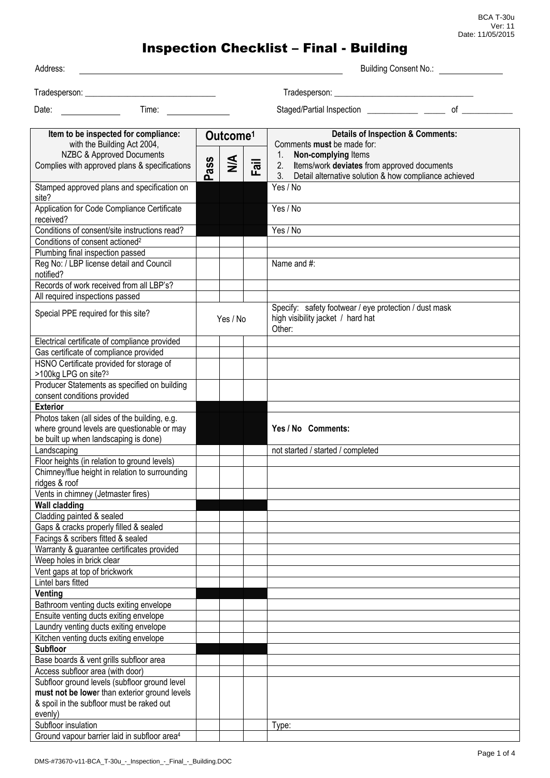| Address:                                                                     |     |                      |      |                                                                                                      | <b>Building Consent No.:</b> |
|------------------------------------------------------------------------------|-----|----------------------|------|------------------------------------------------------------------------------------------------------|------------------------------|
|                                                                              |     |                      |      |                                                                                                      |                              |
|                                                                              |     |                      |      |                                                                                                      |                              |
| Time:<br>Date:                                                               |     |                      |      |                                                                                                      | $of$ and $\overline{a}$      |
|                                                                              |     |                      |      |                                                                                                      |                              |
| Item to be inspected for compliance:                                         |     | Outcome <sup>1</sup> |      | <b>Details of Inspection &amp; Comments:</b>                                                         |                              |
| with the Building Act 2004,<br>NZBC & Approved Documents                     |     |                      |      | Comments must be made for:<br>1.<br>Non-complying Items                                              |                              |
| Complies with approved plans & specifications                                | ass | $\frac{4}{2}$        | Fail | Items/work deviates from approved documents<br>2.                                                    |                              |
|                                                                              | ൨   |                      |      | Detail alternative solution & how compliance achieved<br>3.                                          |                              |
| Stamped approved plans and specification on<br>site?                         |     |                      |      | Yes / No                                                                                             |                              |
| Application for Code Compliance Certificate<br>received?                     |     |                      |      | Yes / No                                                                                             |                              |
| Conditions of consent/site instructions read?                                |     |                      |      | Yes / No                                                                                             |                              |
| Conditions of consent actioned <sup>2</sup>                                  |     |                      |      |                                                                                                      |                              |
| Plumbing final inspection passed                                             |     |                      |      |                                                                                                      |                              |
| Reg No: / LBP license detail and Council<br>notified?                        |     |                      |      | Name and #:                                                                                          |                              |
| Records of work received from all LBP's?                                     |     |                      |      |                                                                                                      |                              |
| All required inspections passed                                              |     |                      |      |                                                                                                      |                              |
| Special PPE required for this site?                                          |     | Yes / No             |      | Specify: safety footwear / eye protection / dust mask<br>high visibility jacket / hard hat<br>Other: |                              |
| Electrical certificate of compliance provided                                |     |                      |      |                                                                                                      |                              |
| Gas certificate of compliance provided                                       |     |                      |      |                                                                                                      |                              |
| HSNO Certificate provided for storage of                                     |     |                      |      |                                                                                                      |                              |
| >100kg LPG on site? <sup>3</sup>                                             |     |                      |      |                                                                                                      |                              |
| Producer Statements as specified on building                                 |     |                      |      |                                                                                                      |                              |
| consent conditions provided<br><b>Exterior</b>                               |     |                      |      |                                                                                                      |                              |
| Photos taken (all sides of the building, e.g.                                |     |                      |      |                                                                                                      |                              |
| where ground levels are questionable or may                                  |     |                      |      | Yes / No Comments:                                                                                   |                              |
| be built up when landscaping is done)                                        |     |                      |      |                                                                                                      |                              |
| Landscaping                                                                  |     |                      |      | not started / started / completed                                                                    |                              |
| Floor heights (in relation to ground levels)                                 |     |                      |      |                                                                                                      |                              |
| Chimney/flue height in relation to surrounding<br>ridges & roof              |     |                      |      |                                                                                                      |                              |
| Vents in chimney (Jetmaster fires)                                           |     |                      |      |                                                                                                      |                              |
| <b>Wall cladding</b>                                                         |     |                      |      |                                                                                                      |                              |
| Cladding painted & sealed                                                    |     |                      |      |                                                                                                      |                              |
| Gaps & cracks properly filled & sealed<br>Facings & scribers fitted & sealed |     |                      |      |                                                                                                      |                              |
| Warranty & guarantee certificates provided                                   |     |                      |      |                                                                                                      |                              |
| Weep holes in brick clear                                                    |     |                      |      |                                                                                                      |                              |
| Vent gaps at top of brickwork                                                |     |                      |      |                                                                                                      |                              |
| Lintel bars fitted                                                           |     |                      |      |                                                                                                      |                              |
| Venting                                                                      |     |                      |      |                                                                                                      |                              |
| Bathroom venting ducts exiting envelope                                      |     |                      |      |                                                                                                      |                              |
| Ensuite venting ducts exiting envelope                                       |     |                      |      |                                                                                                      |                              |
| Laundry venting ducts exiting envelope                                       |     |                      |      |                                                                                                      |                              |
| Kitchen venting ducts exiting envelope                                       |     |                      |      |                                                                                                      |                              |
| <b>Subfloor</b>                                                              |     |                      |      |                                                                                                      |                              |
| Base boards & vent grills subfloor area<br>Access subfloor area (with door)  |     |                      |      |                                                                                                      |                              |
| Subfloor ground levels (subfloor ground level                                |     |                      |      |                                                                                                      |                              |
| must not be lower than exterior ground levels                                |     |                      |      |                                                                                                      |                              |
| & spoil in the subfloor must be raked out                                    |     |                      |      |                                                                                                      |                              |
| evenly)                                                                      |     |                      |      |                                                                                                      |                              |
| Subfloor insulation                                                          |     |                      |      | Type:                                                                                                |                              |
| Ground vapour barrier laid in subfloor area <sup>4</sup>                     |     |                      |      |                                                                                                      |                              |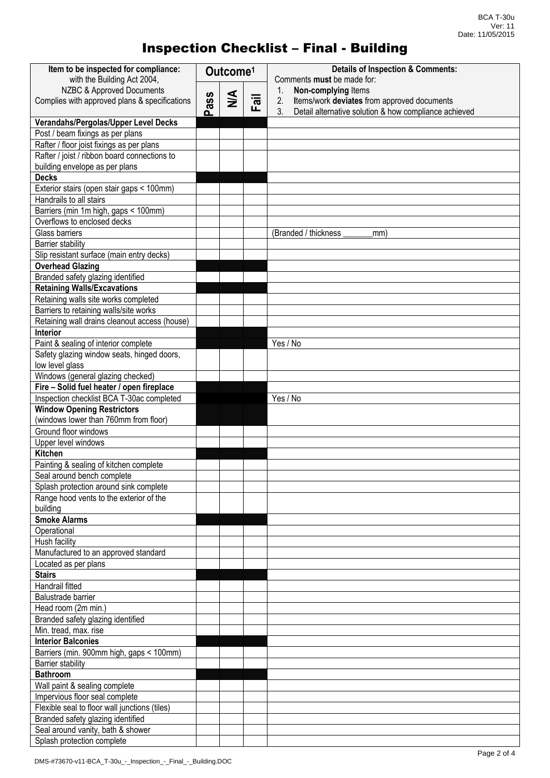| Item to be inspected for compliance:<br>with the Building Act 2004, | Outcome <sup>1</sup> |               |                           | <b>Details of Inspection &amp; Comments:</b><br>Comments must be made for: |
|---------------------------------------------------------------------|----------------------|---------------|---------------------------|----------------------------------------------------------------------------|
| NZBC & Approved Documents                                           |                      |               |                           | Non-complying Items<br>1.                                                  |
| Complies with approved plans & specifications                       | ass                  | $\frac{4}{2}$ | $\overline{\overline{a}}$ | 2.<br>Items/work deviates from approved documents                          |
|                                                                     | ൨                    |               | ட                         | 3 <sub>1</sub><br>Detail alternative solution & how compliance achieved    |
| Verandahs/Pergolas/Upper Level Decks                                |                      |               |                           |                                                                            |
| Post / beam fixings as per plans                                    |                      |               |                           |                                                                            |
| Rafter / floor joist fixings as per plans                           |                      |               |                           |                                                                            |
| Rafter / joist / ribbon board connections to                        |                      |               |                           |                                                                            |
| building envelope as per plans                                      |                      |               |                           |                                                                            |
| <b>Decks</b>                                                        |                      |               |                           |                                                                            |
| Exterior stairs (open stair gaps < 100mm)                           |                      |               |                           |                                                                            |
| Handrails to all stairs                                             |                      |               |                           |                                                                            |
| Barriers (min 1m high, gaps < 100mm)                                |                      |               |                           |                                                                            |
| Overflows to enclosed decks                                         |                      |               |                           |                                                                            |
| Glass barriers                                                      |                      |               |                           | (Branded / thickness<br>mm)                                                |
| <b>Barrier stability</b>                                            |                      |               |                           |                                                                            |
| Slip resistant surface (main entry decks)                           |                      |               |                           |                                                                            |
| <b>Overhead Glazing</b>                                             |                      |               |                           |                                                                            |
| Branded safety glazing identified                                   |                      |               |                           |                                                                            |
| <b>Retaining Walls/Excavations</b>                                  |                      |               |                           |                                                                            |
| Retaining walls site works completed                                |                      |               |                           |                                                                            |
| Barriers to retaining walls/site works                              |                      |               |                           |                                                                            |
| Retaining wall drains cleanout access (house)                       |                      |               |                           |                                                                            |
| Interior                                                            |                      |               |                           |                                                                            |
| Paint & sealing of interior complete                                |                      |               |                           | Yes / No                                                                   |
| Safety glazing window seats, hinged doors,                          |                      |               |                           |                                                                            |
| low level glass                                                     |                      |               |                           |                                                                            |
| Windows (general glazing checked)                                   |                      |               |                           |                                                                            |
| Fire - Solid fuel heater / open fireplace                           |                      |               |                           |                                                                            |
| Inspection checklist BCA T-30ac completed                           |                      |               |                           | Yes / No                                                                   |
| <b>Window Opening Restrictors</b>                                   |                      |               |                           |                                                                            |
| (windows lower than 760mm from floor)                               |                      |               |                           |                                                                            |
| Ground floor windows                                                |                      |               |                           |                                                                            |
| Upper level windows                                                 |                      |               |                           |                                                                            |
| <b>Kitchen</b>                                                      |                      |               |                           |                                                                            |
| Painting & sealing of kitchen complete                              |                      |               |                           |                                                                            |
| Seal around bench complete                                          |                      |               |                           |                                                                            |
| Splash protection around sink complete                              |                      |               |                           |                                                                            |
| Range hood vents to the exterior of the                             |                      |               |                           |                                                                            |
| building                                                            |                      |               |                           |                                                                            |
| <b>Smoke Alarms</b>                                                 |                      |               |                           |                                                                            |
| Operational                                                         |                      |               |                           |                                                                            |
| Hush facility                                                       |                      |               |                           |                                                                            |
| Manufactured to an approved standard                                |                      |               |                           |                                                                            |
| Located as per plans                                                |                      |               |                           |                                                                            |
| <b>Stairs</b>                                                       |                      |               |                           |                                                                            |
| Handrail fitted                                                     |                      |               |                           |                                                                            |
| Balustrade barrier                                                  |                      |               |                           |                                                                            |
| Head room (2m min.)                                                 |                      |               |                           |                                                                            |
| Branded safety glazing identified                                   |                      |               |                           |                                                                            |
| Min. tread, max. rise                                               |                      |               |                           |                                                                            |
| <b>Interior Balconies</b>                                           |                      |               |                           |                                                                            |
| Barriers (min. 900mm high, gaps < 100mm)                            |                      |               |                           |                                                                            |
| <b>Barrier stability</b>                                            |                      |               |                           |                                                                            |
| <b>Bathroom</b>                                                     |                      |               |                           |                                                                            |
| Wall paint & sealing complete                                       |                      |               |                           |                                                                            |
| Impervious floor seal complete                                      |                      |               |                           |                                                                            |
| Flexible seal to floor wall junctions (tiles)                       |                      |               |                           |                                                                            |
| Branded safety glazing identified                                   |                      |               |                           |                                                                            |
| Seal around vanity, bath & shower                                   |                      |               |                           |                                                                            |
| Splash protection complete                                          |                      |               |                           |                                                                            |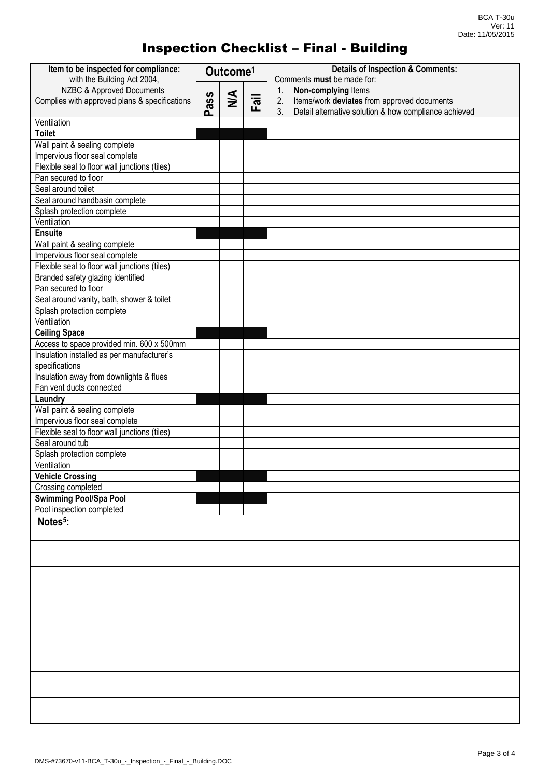| Item to be inspected for compliance:<br>with the Building Act 2004,        | Outcome <sup>1</sup> |        |      | <b>Details of Inspection &amp; Comments:</b><br>Comments must be made for:                                                                    |
|----------------------------------------------------------------------------|----------------------|--------|------|-----------------------------------------------------------------------------------------------------------------------------------------------|
| NZBC & Approved Documents<br>Complies with approved plans & specifications | Pass                 | $\leq$ | Fail | Non-complying Items<br>1.<br>Items/work deviates from approved documents<br>2.<br>3.<br>Detail alternative solution & how compliance achieved |
| Ventilation                                                                |                      |        |      |                                                                                                                                               |
| <b>Toilet</b>                                                              |                      |        |      |                                                                                                                                               |
| Wall paint & sealing complete                                              |                      |        |      |                                                                                                                                               |
| Impervious floor seal complete                                             |                      |        |      |                                                                                                                                               |
| Flexible seal to floor wall junctions (tiles)                              |                      |        |      |                                                                                                                                               |
| Pan secured to floor                                                       |                      |        |      |                                                                                                                                               |
| Seal around toilet                                                         |                      |        |      |                                                                                                                                               |
| Seal around handbasin complete                                             |                      |        |      |                                                                                                                                               |
| Splash protection complete                                                 |                      |        |      |                                                                                                                                               |
| Ventilation                                                                |                      |        |      |                                                                                                                                               |
| <b>Ensuite</b>                                                             |                      |        |      |                                                                                                                                               |
| Wall paint & sealing complete                                              |                      |        |      |                                                                                                                                               |
| Impervious floor seal complete                                             |                      |        |      |                                                                                                                                               |
| Flexible seal to floor wall junctions (tiles)                              |                      |        |      |                                                                                                                                               |
| Branded safety glazing identified                                          |                      |        |      |                                                                                                                                               |
| Pan secured to floor                                                       |                      |        |      |                                                                                                                                               |
| Seal around vanity, bath, shower & toilet                                  |                      |        |      |                                                                                                                                               |
| Splash protection complete                                                 |                      |        |      |                                                                                                                                               |
| Ventilation                                                                |                      |        |      |                                                                                                                                               |
| <b>Ceiling Space</b>                                                       |                      |        |      |                                                                                                                                               |
| Access to space provided min. 600 x 500mm                                  |                      |        |      |                                                                                                                                               |
| Insulation installed as per manufacturer's                                 |                      |        |      |                                                                                                                                               |
| specifications                                                             |                      |        |      |                                                                                                                                               |
| Insulation away from downlights & flues                                    |                      |        |      |                                                                                                                                               |
| Fan vent ducts connected                                                   |                      |        |      |                                                                                                                                               |
| Laundry                                                                    |                      |        |      |                                                                                                                                               |
| Wall paint & sealing complete                                              |                      |        |      |                                                                                                                                               |
| Impervious floor seal complete                                             |                      |        |      |                                                                                                                                               |
| Flexible seal to floor wall junctions (tiles)                              |                      |        |      |                                                                                                                                               |
| Seal around tub                                                            |                      |        |      |                                                                                                                                               |
| Splash protection complete                                                 |                      |        |      |                                                                                                                                               |
| Ventilation                                                                |                      |        |      |                                                                                                                                               |
| <b>Vehicle Crossing</b>                                                    |                      |        |      |                                                                                                                                               |
| Crossing completed                                                         |                      |        |      |                                                                                                                                               |
| <b>Swimming Pool/Spa Pool</b>                                              |                      |        |      |                                                                                                                                               |
| Pool inspection completed                                                  |                      |        |      |                                                                                                                                               |
| Notes <sup>5</sup> :                                                       |                      |        |      |                                                                                                                                               |
|                                                                            |                      |        |      |                                                                                                                                               |
|                                                                            |                      |        |      |                                                                                                                                               |
|                                                                            |                      |        |      |                                                                                                                                               |
|                                                                            |                      |        |      |                                                                                                                                               |
|                                                                            |                      |        |      |                                                                                                                                               |
|                                                                            |                      |        |      |                                                                                                                                               |
|                                                                            |                      |        |      |                                                                                                                                               |
|                                                                            |                      |        |      |                                                                                                                                               |
|                                                                            |                      |        |      |                                                                                                                                               |
|                                                                            |                      |        |      |                                                                                                                                               |
|                                                                            |                      |        |      |                                                                                                                                               |
|                                                                            |                      |        |      |                                                                                                                                               |
|                                                                            |                      |        |      |                                                                                                                                               |
|                                                                            |                      |        |      |                                                                                                                                               |
|                                                                            |                      |        |      |                                                                                                                                               |
|                                                                            |                      |        |      |                                                                                                                                               |
|                                                                            |                      |        |      |                                                                                                                                               |
|                                                                            |                      |        |      |                                                                                                                                               |